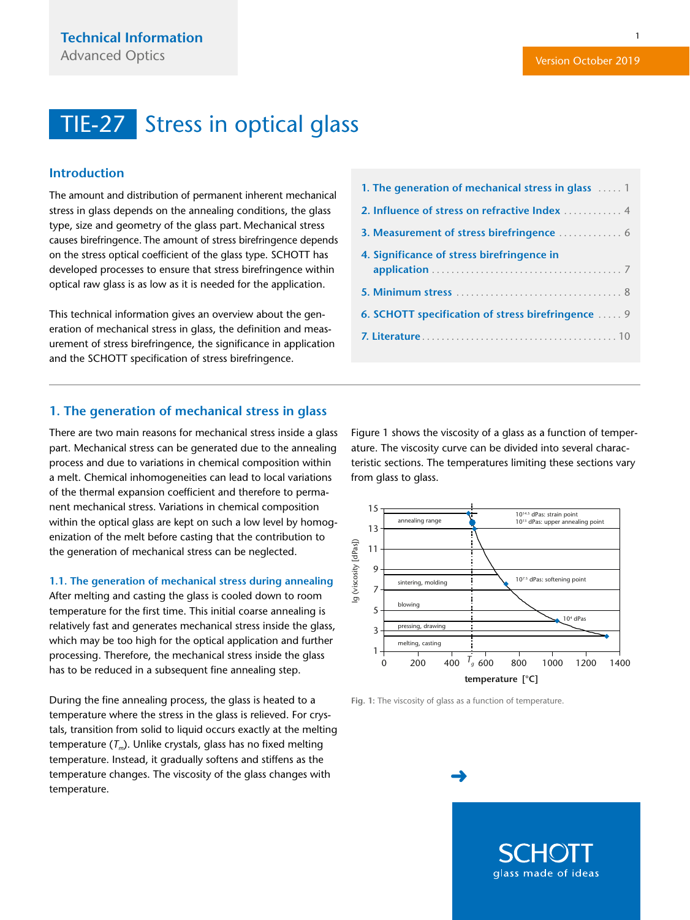#### <span id="page-0-0"></span>**Introduction**

The amount and distribution of permanent inherent mechanical stress in glass depends on the annealing conditions, the glass type, size and geometry of the glass part. Mechanical stress causes birefringence. The amount of stress birefringence depends on the stress optical coefficient of the glass type. SCHOTT has developed processes to ensure that stress birefringence within optical raw glass is as low as it is needed for the application.

This technical information gives an overview about the generation of mechanical stress in glass, the definition and measurement of stress birefringence, the significance in application and the SCHOTT specification of stress birefringence.

#### **1. The generation of mechanical stress in glass**

There are two main reasons for mechanical stress inside a glass part. Mechanical stress can be generated due to the annealing process and due to variations in chemical composition within a melt. Chemical inhomogeneities can lead to local variations of the thermal expansion coefficient and therefore to permanent mechanical stress. Variations in chemical composition within the optical glass are kept on such a low level by homogenization of the melt before casting that the contribution to the generation of mechanical stress can be neglected.

#### **1.1. The generation of mechanical stress during annealing**

After melting and casting the glass is cooled down to room temperature for the first time. This initial coarse annealing is relatively fast and generates mechanical stress inside the glass, which may be too high for the optical application and further processing. Therefore, the mechanical stress inside the glass has to be reduced in a subsequent fine annealing step.

During the fine annealing process, the glass is heated to a temperature where the stress in the glass is relieved. For crystals, transition from solid to liquid occurs exactly at the melting temperature (*T<sub>m</sub>*). Unlike crystals, glass has no fixed melting temperature. Instead, it gradually softens and stiffens as the temperature changes. The viscosity of the glass changes with temperature.

| 1. The generation of mechanical stress in glass  1 |
|----------------------------------------------------|
| 2. Influence of stress on refractive Index  4      |
| 3. Measurement of stress birefringence  6          |
| 4. Significance of stress birefringence in         |
|                                                    |
| 6. SCHOTT specification of stress birefringence  9 |
|                                                    |

Figure 1 shows the viscosity of a glass as a function of temperature. The viscosity curve can be divided into several characteristic sections. The temperatures limiting these sections vary from glass to glass.





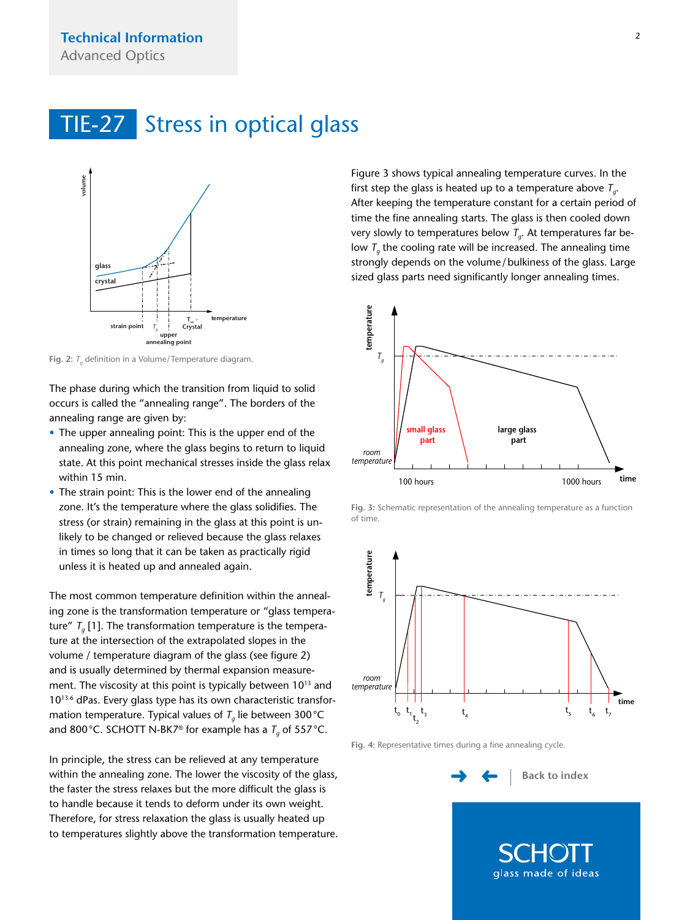<span id="page-1-0"></span>

**Fig. 2:** *T<sub>a</sub>* definition in a Volume/Temperature diagram.

The phase during which the transition from liquid to solid occurs is called the "annealing range". The borders of the annealing range are given by:

- The upper annealing point: This is the upper end of the annealing zone, where the glass begins to return to liquid state. At this point mechanical stresses inside the glass relax within 15 min.
- The strain point: This is the lower end of the annealing zone. It's the temperature where the glass solidifies. The stress (or strain) remaining in the glass at this point is unlikely to be changed or relieved because the glass relaxes in times so long that it can be taken as practically rigid unless it is heated up and annealed again.

The most common temperature definition within the annealing zone is the transformation temperature or "glass temperature"  $T_a$  [1]. The transformation temperature is the temperature at the intersection of the extrapolated slopes in the volume / temperature diagram of the glass (see figure 2) and is usually determined by thermal expansion measurement. The viscosity at this point is typically between 1013 and 1013.6 dPas. Every glass type has its own characteristic transformation temperature. Typical values of  $T<sub>a</sub>$  lie between 300 °C and 800 °C. SCHOTT N-BK7<sup>®</sup> for example has a  $T_q$  of 557 °C.

In principle, the stress can be relieved at any temperature within the annealing zone. The lower the viscosity of the glass, the faster the stress relaxes but the more difficult the glass is to handle because it tends to deform under its own weight. Therefore, for stress relaxation the glass is usually heated up to temperatures slightly above the transformation temperature.

Figure 3 shows typical annealing temperature curves. In the first step the glass is heated up to a temperature above  $T_a$ . After keeping the temperature constant for a certain period of time the fine annealing starts. The glass is then cooled down very slowly to temperatures below  $T_{a}$ . At temperatures far below  $T<sub>g</sub>$  the cooling rate will be increased. The annealing time strongly depends on the volume/bulkiness of the glass. Large sized glass parts need significantly longer annealing times.



**Fig. 3:** Schematic representation of the annealing temperature as a function of time.



**Fig. 4:** Representative times during a fine annealing cycle.

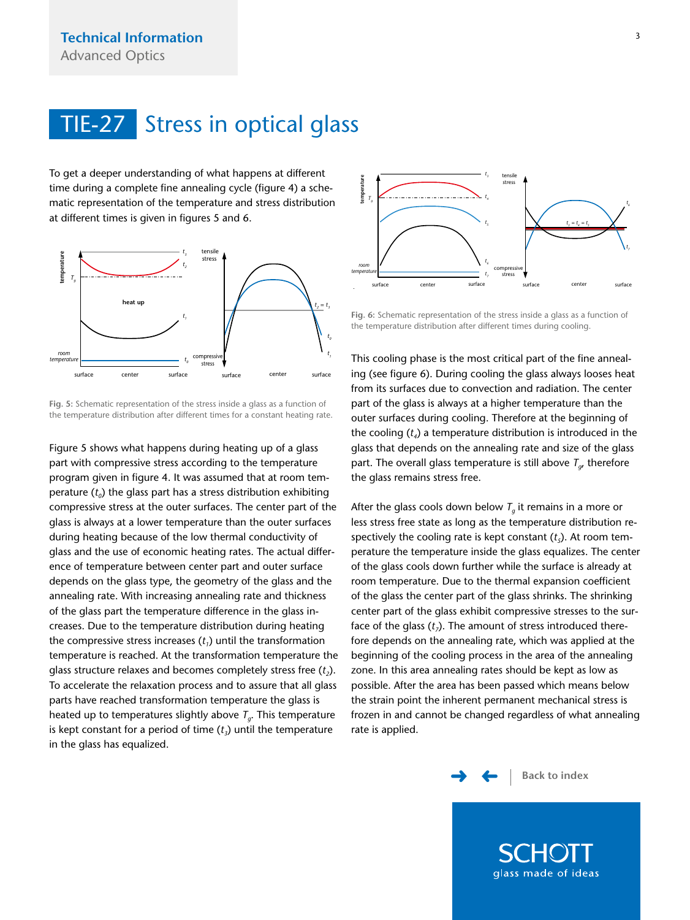<span id="page-2-0"></span>To get a deeper understanding of what happens at different time during a complete fine annealing cycle (figure 4) a schematic representation of the temperature and stress distribution at different times is given in figures 5 and 6.



**Fig. 5:** Schematic representation of the stress inside a glass as a function of the temperature distribution after different times for a constant heating rate.

Figure 5 shows what happens during heating up of a glass part with compressive stress according to the temperature program given in figure 4. It was assumed that at room temperature  $(t_0)$  the glass part has a stress distribution exhibiting compressive stress at the outer surfaces. The center part of the glass is always at a lower temperature than the outer surfaces during heating because of the low thermal conductivity of glass and the use of economic heating rates. The actual difference of temperature between center part and outer surface depends on the glass type, the geometry of the glass and the annealing rate. With increasing annealing rate and thickness of the glass part the temperature difference in the glass increases. Due to the temperature distribution during heating the compressive stress increases  $(t<sub>i</sub>)$  until the transformation temperature is reached. At the transformation temperature the glass structure relaxes and becomes completely stress free  $(t_2)$ . To accelerate the relaxation process and to assure that all glass parts have reached transformation temperature the glass is heated up to temperatures slightly above *Tg*. This temperature is kept constant for a period of time  $(t<sub>3</sub>)$  until the temperature in the glass has equalized.



**Fig. 6:** Schematic representation of the stress inside a glass as a function of the temperature distribution after different times during cooling.

This cooling phase is the most critical part of the fine annealing (see figure 6). During cooling the glass always looses heat from its surfaces due to convection and radiation. The center part of the glass is always at a higher temperature than the outer surfaces during cooling. Therefore at the beginning of the cooling  $(t_4)$  a temperature distribution is introduced in the glass that depends on the annealing rate and size of the glass part. The overall glass temperature is still above  $T_{\alpha}$ , therefore the glass remains stress free.

After the glass cools down below  $T_a$  it remains in a more or less stress free state as long as the temperature distribution respectively the cooling rate is kept constant  $(t<sub>s</sub>)$ . At room temperature the temperature inside the glass equalizes. The center of the glass cools down further while the surface is already at room temperature. Due to the thermal expansion coefficient of the glass the center part of the glass shrinks. The shrinking center part of the glass exhibit compressive stresses to the surface of the glass  $(t_7)$ . The amount of stress introduced therefore depends on the annealing rate, which was applied at the beginning of the cooling process in the area of the annealing zone. In this area annealing rates should be kept as low as possible. After the area has been passed which means below the strain point the inherent permanent mechanical stress is frozen in and cannot be changed regardless of what annealing rate is applied.

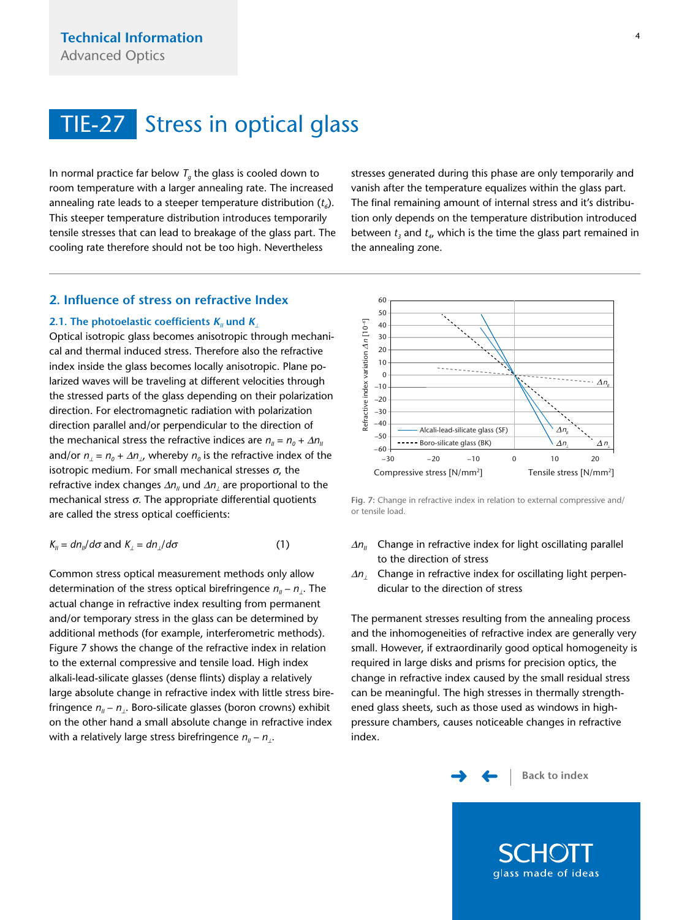<span id="page-3-0"></span>In normal practice far below  $T<sub>a</sub>$  the glass is cooled down to room temperature with a larger annealing rate. The increased annealing rate leads to a steeper temperature distribution  $(t_6)$ . This steeper temperature distribution introduces temporarily tensile stresses that can lead to breakage of the glass part. The cooling rate therefore should not be too high. Nevertheless

stresses generated during this phase are only temporarily and vanish after the temperature equalizes within the glass part. The final remaining amount of internal stress and it's distribution only depends on the temperature distribution introduced between  $t_3$  and  $t_4$ , which is the time the glass part remained in the annealing zone.

### **2. Influence of stress on refractive Index**

#### **2.1. The photoelastic coefficients**  $K_{\parallel}$  **und**  $K_{\perp}$

Optical isotropic glass becomes anisotropic through mechanical and thermal induced stress. Therefore also the refractive index inside the glass becomes locally anisotropic. Plane polarized waves will be traveling at different velocities through the stressed parts of the glass depending on their polarization direction. For electromagnetic radiation with polarization direction parallel and/or perpendicular to the direction of the mechanical stress the refractive indices are  $n_{II} = n_0 + \Delta n_{II}$ and/or  $n_{\perp} = n_0 + \Delta n_{\perp}$ , whereby  $n_0$  is the refractive index of the isotropic medium. For small mechanical stresses  $σ$ , the refractive index changes Δ*n*<sub>*I*</sub> und Δ*n*<sub>*i*</sub> are proportional to the mechanical stress  $\sigma$ . The appropriate differential quotients are called the stress optical coefficients:

$$
K_{ii} = dn_{ii}/d\sigma \text{ and } K_{\perp} = dn_{\perp}/d\sigma \tag{1}
$$

Common stress optical measurement methods only allow determination of the stress optical birefringence  $n<sub>II</sub> - n<sub>I</sub>$ . The actual change in refractive index resulting from permanent and/or temporary stress in the glass can be determined by additional methods (for example, interferometric methods). Figure 7 shows the change of the refractive index in relation to the external compressive and tensile load. High index alkali-lead-silicate glasses (dense flints) display a relatively large absolute change in refractive index with little stress birefringence *n<sub>II</sub>* − *n*<sub>⊥</sub>. Boro-silicate glasses (boron crowns) exhibit on the other hand a small absolute change in refractive index with a relatively large stress birefringence  $n_{II}$  –  $n_{\perp}$ .



**Fig. 7:** Change in refractive index in relation to external compressive and/ or tensile load.

- $\Delta n_{II}$  Change in refractive index for light oscillating parallel to the direction of stress
- Δ*n*<sub>1</sub> Change in refractive index for oscillating light perpendicular to the direction of stress

The permanent stresses resulting from the annealing process and the inhomogeneities of refractive index are generally very small. However, if extraordinarily good optical homogeneity is required in large disks and prisms for precision optics, the change in refractive index caused by the small residual stress can be meaningful. The high stresses in thermally strengthened glass sheets, such as those used as windows in highpressure chambers, causes noticeable changes in refractive index.

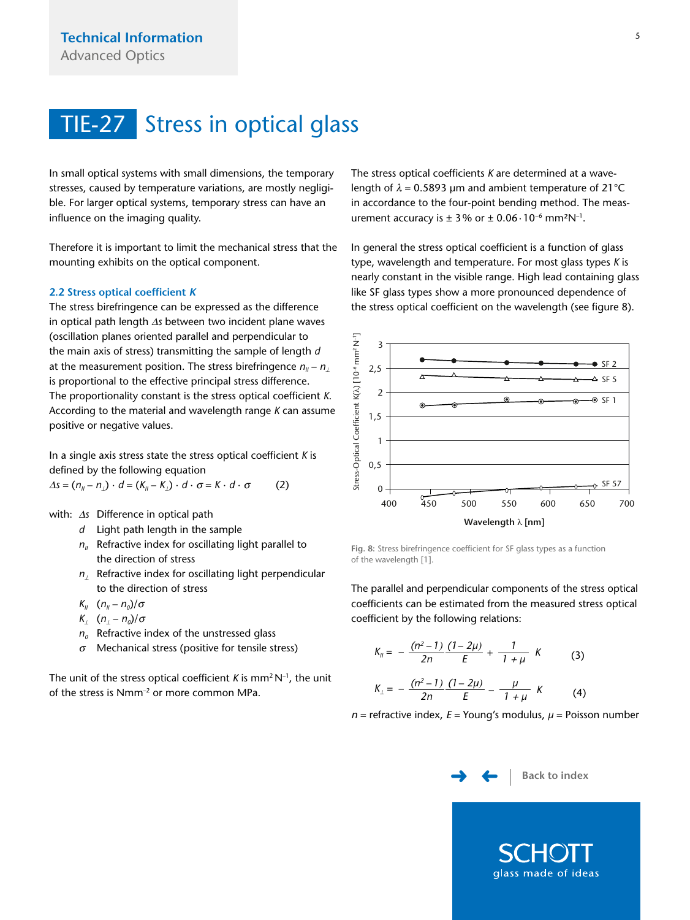<span id="page-4-0"></span>In small optical systems with small dimensions, the temporary stresses, caused by temperature variations, are mostly negligible. For larger optical systems, temporary stress can have an influence on the imaging quality.

Therefore it is important to limit the mechanical stress that the mounting exhibits on the optical component.

#### **2.2 Stress optical coefficient K**

The stress birefringence can be expressed as the difference in optical path length Δ*s* between two incident plane waves (oscillation planes oriented parallel and perpendicular to the main axis of stress) transmitting the sample of length *d* at the measurement position. The stress birefringence  $n<sub>II</sub> - n<sub>II</sub>$ is proportional to the effective principal stress difference. The proportionality constant is the stress optical coefficient *K*. According to the material and wavelength range *K* can assume positive or negative values.

In a single axis stress state the stress optical coefficient *K* is defined by the following equation

 $\Delta s = (n_{ii} - n_i) \cdot d = (K_{ii} - K_i) \cdot d \cdot \sigma = K \cdot d \cdot \sigma$  (2)

with: <sup>Δ</sup>*s* Difference in optical path

- *d* Light path length in the sample
- $n_{II}$  Refractive index for oscillating light parallel to the direction of stress
- *n*⊥ Refractive index for oscillating light perpendicular to the direction of stress
- *K<sub>II</sub>*  $(n_{ii} n_{0})/\sigma$
- $K_i$   $(n_i n_0)/\sigma$
- $n_0$  Refractive index of the unstressed glass
- <sup>σ</sup> Mechanical stress (positive for tensile stress)

The unit of the stress optical coefficient  $K$  is mm<sup>2</sup> N<sup>-1</sup>, the unit of the stress is Nmm–2 or more common MPa.

The stress optical coefficients *K* are determined at a wavelength of  $\lambda$  = 0.5893 µm and ambient temperature of 21°C in accordance to the four-point bending method. The measurement accuracy is  $\pm 3\%$  or  $\pm 0.06 \cdot 10^{-6}$  mm<sup>2</sup>N<sup>-1</sup>.

In general the stress optical coefficient is a function of glass type, wavelength and temperature. For most glass types *K* is nearly constant in the visible range. High lead containing glass like SF glass types show a more pronounced dependence of the stress optical coefficient on the wavelength (see figure 8).



**Fig. 8:** Stress birefringence coefficient for SF glass types as a function of the wavelength [1].

The parallel and perpendicular components of the stress optical coefficients can be estimated from the measured stress optical coefficient by the following relations:

$$
K_{ii} = -\frac{(n^2 - 1)}{2n} \frac{(1 - 2\mu)}{E} + \frac{1}{1 + \mu} K \tag{3}
$$

$$
K_{\perp} = -\frac{(n^2 - 1)}{2n} \frac{(1 - 2\mu)}{E} - \frac{\mu}{1 + \mu} K \tag{4}
$$

<sup>n</sup> = refractive index, E = Young's modulus, *µ* = Poisson number

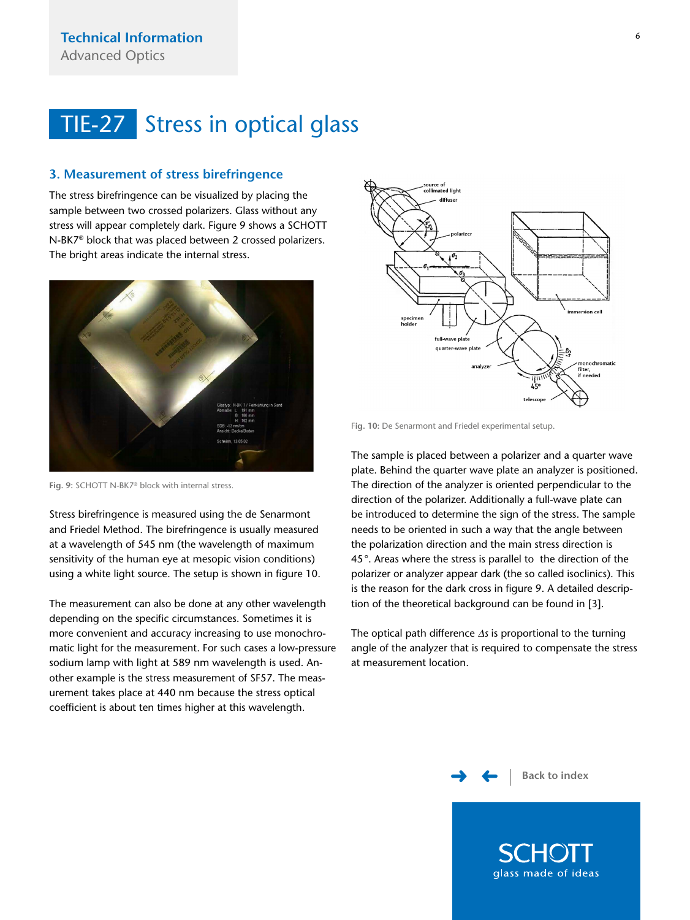#### <span id="page-5-0"></span>**3. Measurement of stress birefringence**

The stress birefringence can be visualized by placing the sample between two crossed polarizers. Glass without any stress will appear completely dark. Figure 9 shows a SCHOTT N-BK7® block that was placed between 2 crossed polarizers. The bright areas indicate the internal stress.



**Fig. 9:** SCHOTT N-BK7® block with internal stress.

Stress birefringence is measured using the de Senarmont and Friedel Method. The birefringence is usually measured at a wavelength of 545 nm (the wavelength of maximum sensitivity of the human eye at mesopic vision conditions) using a white light source. The setup is shown in figure 10.

The measurement can also be done at any other wavelength depending on the specific circumstances. Sometimes it is more convenient and accuracy increasing to use monochromatic light for the measurement. For such cases a low-pressure sodium lamp with light at 589 nm wavelength is used. Another example is the stress measurement of SF57. The measurement takes place at 440 nm because the stress optical coefficient is about ten times higher at this wavelength.



F**ig. 10:** De Senarmont and Friedel experimental setup.

The sample is placed between a polarizer and a quarter wave plate. Behind the quarter wave plate an analyzer is positioned. The direction of the analyzer is oriented perpendicular to the direction of the polarizer. Additionally a full-wave plate can be introduced to determine the sign of the stress. The sample needs to be oriented in such a way that the angle between the polarization direction and the main stress direction is 45°. Areas where the stress is parallel to the direction of the polarizer or analyzer appear dark (the so called isoclinics). This is the reason for the dark cross in figure 9. A detailed description of the theoretical background can be found in [3].

The optical path difference Δ*s* is proportional to the turning angle of the analyzer that is required to compensate the stress at measurement location.

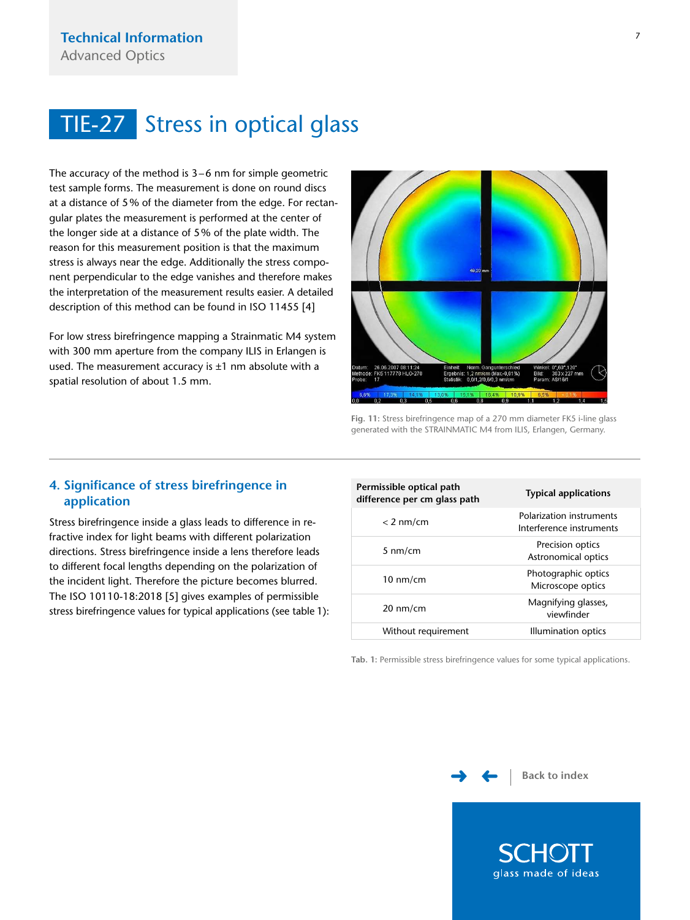<span id="page-6-0"></span>The accuracy of the method is 3–6 nm for simple geometric test sample forms. The measurement is done on round discs at a distance of 5% of the diameter from the edge. For rectangular plates the measurement is performed at the center of the longer side at a distance of 5% of the plate width. The reason for this measurement position is that the maximum stress is always near the edge. Additionally the stress component perpendicular to the edge vanishes and therefore makes the interpretation of the measurement results easier. A detailed description of this method can be found in ISO 11455 [4]

For low stress birefringence mapping a Strainmatic M4 system with 300 mm aperture from the company ILIS in Erlangen is used. The measurement accuracy is  $\pm 1$  nm absolute with a spatial resolution of about 1.5 mm.



**Fig. 11:** Stress birefringence map of a 270 mm diameter FK5 i-line glass generated with the STRAINMATIC M4 from ILIS, Erlangen, Germany.

### **4. Significance of stress birefringence in application**

Stress birefringence inside a glass leads to difference in refractive index for light beams with different polarization directions. Stress birefringence inside a lens therefore leads to different focal lengths depending on the polarization of the incident light. Therefore the picture becomes blurred. The ISO 10110-18:2018 [5] gives examples of permissible stress birefringence values for typical applications (see table 1):

### **Permissible optical path difference per cm glass path Typical applications** < 2 nm/cm Polarization instruments Interference instruments 5 nm/cm Precision optics Astronomical optics 10 nm/cm Photographic optics Microscope optics 20 nm/cm Magnifying glasses, viewfinder Without requirement Illumination optics

**Tab. 1:** Permissible stress birefringence values for some typical applications.

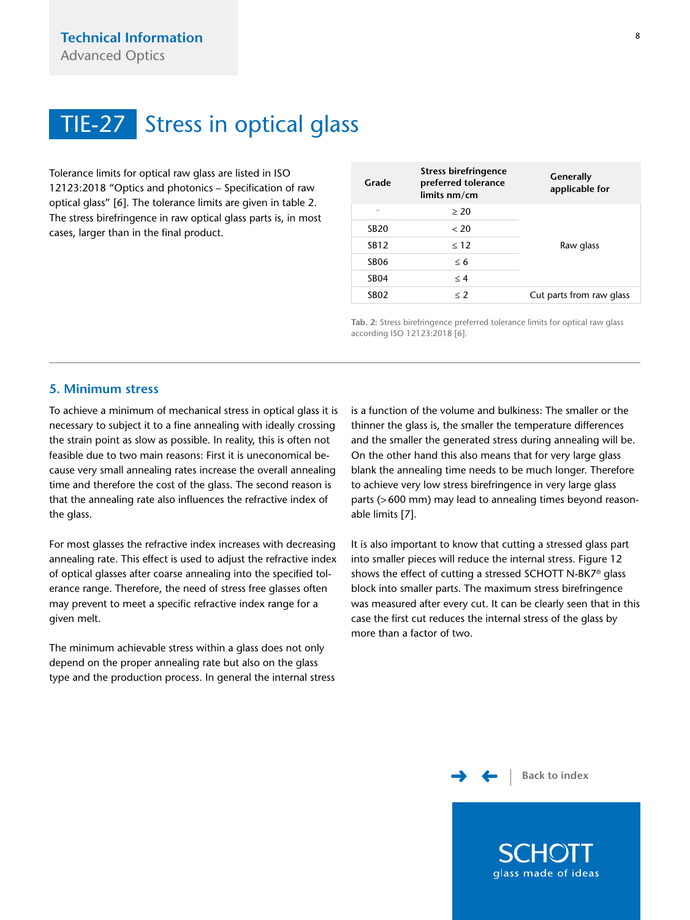<span id="page-7-0"></span>Tolerance limits for optical raw glass are listed in ISO 12123:2018 "Optics and photonics – Specification of raw optical glass" [6]. The tolerance limits are given in table 2. The stress birefringence in raw optical glass parts is, in most cases, larger than in the final product.

| Grade            | Stress birefringence<br>preferred tolerance<br>limits nm/cm | Generally<br>applicable for |
|------------------|-------------------------------------------------------------|-----------------------------|
|                  | $\geq 20$                                                   |                             |
| <b>SB20</b>      | < 20                                                        |                             |
| SB12             | $\leq 12$                                                   | Raw glass                   |
| <b>SB06</b>      | < 6                                                         |                             |
| SB <sub>04</sub> | $\leq 4$                                                    |                             |
| SB <sub>02</sub> | $<$ 2                                                       | Cut parts from raw glass    |

**Tab. 2:** Stress birefringence preferred tolerance limits for optical raw glass according ISO 12123:2018 [6].

#### **5. Minimum stress**

To achieve a minimum of mechanical stress in optical glass it is necessary to subject it to a fine annealing with ideally crossing the strain point as slow as possible. In reality, this is often not feasible due to two main reasons: First it is uneconomical because very small annealing rates increase the overall annealing time and therefore the cost of the glass. The second reason is that the annealing rate also influences the refractive index of the glass.

For most glasses the refractive index increases with decreasing annealing rate. This effect is used to adjust the refractive index of optical glasses after coarse annealing into the specified tolerance range. Therefore, the need of stress free glasses often may prevent to meet a specific refractive index range for a given melt.

The minimum achievable stress within a glass does not only depend on the proper annealing rate but also on the glass type and the production process. In general the internal stress is a function of the volume and bulkiness: The smaller or the thinner the glass is, the smaller the temperature differences and the smaller the generated stress during annealing will be. On the other hand this also means that for very large glass blank the annealing time needs to be much longer. Therefore to achieve very low stress birefringence in very large glass parts (>600 mm) may lead to annealing times beyond reasonable limits [7].

It is also important to know that cutting a stressed glass part into smaller pieces will reduce the internal stress. Figure 12 shows the effect of cutting a stressed SCHOTT N-BK7® glass block into smaller parts. The maximum stress birefringence was measured after every cut. It can be clearly seen that in this case the first cut reduces the internal stress of the glass by more than a factor of two.

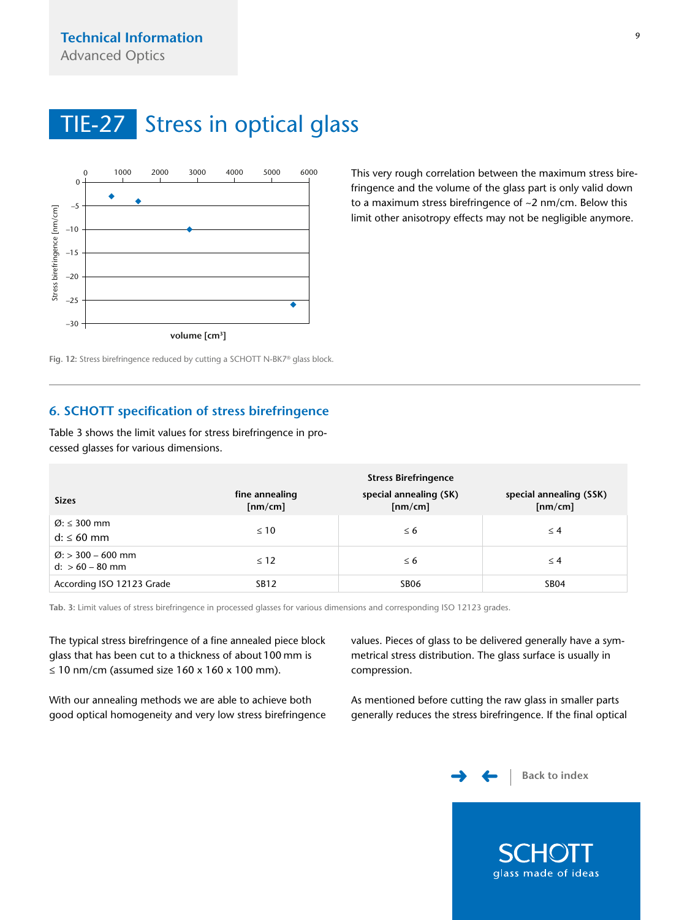<span id="page-8-0"></span>

This very rough correlation between the maximum stress birefringence and the volume of the glass part is only valid down to a maximum stress birefringence of ~2 nm/cm. Below this limit other anisotropy effects may not be negligible anymore.

**F ig. 12:** Stress birefringence reduced by cutting a SCHOTT N-BK7® glass block.

### **6. SCHOTT specification of stress birefringence**

Table 3 shows the limit values for stress birefringence in processed glasses for various dimensions.

|                                                     | <b>Stress Birefringence</b> |                                   |                                    |
|-----------------------------------------------------|-----------------------------|-----------------------------------|------------------------------------|
| <b>Sizes</b>                                        | fine annealing<br>[nm/cm]   | special annealing (SK)<br>[nm/cm] | special annealing (SSK)<br>[nm/cm] |
| $\varnothing$ : $\leq$ 300 mm<br>$d: \leq 60$ mm    | $\leq 10$                   | $\leq 6$                          | $\leq 4$                           |
| $\varnothing$ : > 300 – 600 mm<br>$d: > 60 - 80$ mm | $\leq 12$                   | $\leq 6$                          | $\leq 4$                           |
| According ISO 12123 Grade                           | <b>SB12</b>                 | SB <sub>06</sub>                  | <b>SB04</b>                        |

**Tab. 3:** Limit values of stress birefringence in processed glasses for various dimensions and corresponding ISO 12123 grades.

The typical stress birefringence of a fine annealed piece block glass that has been cut to a thickness of about 100 mm is ≤ 10 nm/cm (assumed size 160 x 160 x 100 mm).

With our annealing methods we are able to achieve both good optical homogeneity and very low stress birefringence values. Pieces of glass to be delivered generally have a symmetrical stress distribution. The glass surface is usually in compression.

As mentioned before cutting the raw glass in smaller parts generally reduces the stress birefringence. If the final optical